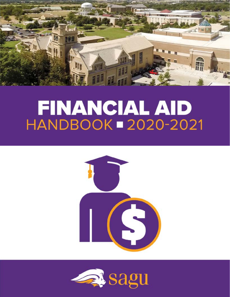

# FINANCIAL AID **HANDBOOK = 2020-2021**



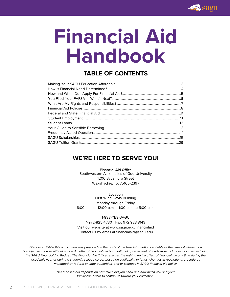

# **Financial Aid Handbook**

# **TABLE OF CONTENTS**

# **WE'RE HERE TO SERVE YOU!**

#### **Financial Aid Office**

Southwestern Assemblies of God University 1200 Sycamore Street Waxahachie, TX 75165-2397

#### **Location**

First Wing Davis Building Monday through Friday 8:00 a.m. to 12:00 p.m., 1:00 p.m. to 5:00 p.m.

#### 1-888-YES-SAGU

1-972-825-4730 Fax: 972.923.8143 Visit our website at www.sagu.edu/financialaid

Contact us by email at financialaid@sagu.edu

*Disclaimer: While this publication was prepared on the basis of the best information available at the time, all information*  is subject to change without notice. An offer of financial aid is conditional upon receipt of funds from all funding sources including *the SAGU Financial Aid Budget. The Financial Aid Office reserves the right to revise offers of financial aid any time during the academic year or during a student's college career based on availability of funds, changes in regulations, procedures mandated by federal or state authorities, and/or changes in SAGU financial aid policy.*

> *Need-based aid depends on how much aid you need and how much you and your family can afford to contribute toward your education.*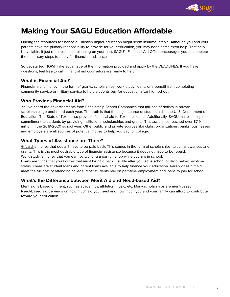

# <span id="page-2-0"></span>**Making Your SAGU Education Affordable**

Finding the resources to finance a Christian higher education might seem insurmountable. Although you and your parents have the primary responsibility to provide for your education, you may need some extra help. That help is available. It just requires a little planning on your part. SAGU's Financial Aid Office encourages you to complete the necessary steps to apply for financial assistance.

So get started NOW! Take advantage of the information provided and apply by the DEADLINES. If you have questions, feel free to call. Financial aid counselors are ready to help.

# **What is Financial Aid?**

Financial aid is money in the form of grants, scholarships, work-study, loans, or a benefit from completing community service or military service to help students pay for education after high school.

# **Who Provides Financial Aid?**

You've heard the advertisements from Scholarship Search Companies that millions of dollars in private scholarships go unclaimed each year. The truth is that the major source of student aid is the U. S. Department of Education. The State of Texas also provides financial aid to Texas residents. Additionally, SAGU makes a major commitment to students by providing institutional scholarships and grants. This assistance reached over \$7.9 million in the 2019-2020 school year. Other public and private sources like clubs, organizations, banks, businesses and employers are all sources of potential money to help you pay for college.

# **What Types of Assistance are There?**

Gift aid is money that doesn't have to be paid back. This comes in the form of scholarships, tuition allowances and grants. This is the most desirable type of financial assistance because it does not have to be repaid. Work-study is money that you earn by working a part-time job while you are in school. Loans are funds that you borrow that must be paid back, usually after you leave school or drop below half-time status. There are student loans and parent loans available to help finance your education. Rarely does gift aid meet the full cost of attending college. Most students rely on part-time employment and loans to pay for school.

# **What's the Difference between Merit Aid and Need-based Aid?**

Merit aid is based on merit, such as academics, athletics, music, etc. Many scholarships are merit-based. Need-based aid depends on how much aid you need and how much you and your family can afford to contribute toward your education.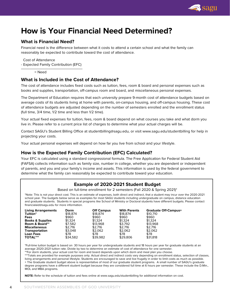

# <span id="page-3-0"></span>**How is Your Financial Need Determined?**

# **What is Financial Need?**

Financial need is the difference between what it costs to attend a certain school and what the family can reasonably be expected to contribute toward the cost of attendance.

Cost of Attendance

- Expected Family Contribution (EFC) \_\_\_\_\_\_\_\_\_\_\_\_\_\_\_\_\_\_\_\_\_\_\_\_\_\_\_\_\_

 $h = N$ eed

#### **What is Included in the Cost of Attendance?**

The cost of attendance includes fixed costs such as tuition, fees, room & board and personal expenses such as books and supplies, transportation, off-campus room and board, and miscellaneous personal expenses.

The Department of Education requires that each university prepare 9-month cost of attendance budgets based on average costs of its students living at home with parents, on-campus housing, and off-campus housing. These cost of attendance budgets are adjusted depending on the number of semesters enrolled and the enrollment status (full time, 3/4 time, 1/2 time and less than 1/2 time).

Your actual fixed expenses for tuition, fees, room & board depend on what courses you take and what dorm you live in. Please refer to a current price list of charges to determine what your actual charges will be.

Contact SAGU's Student Billing Office at studentbilling@sagu.edu, or visit www.sagu.edu/studentbilling for help in projecting your costs.

Your actual personal expenses will depend on how far you live from school and your lifestyle.

# **How is the Expected Family Contribution (EFC) Calculated?**

Your EFC is calculated using a standard congressional formula. The Free Application for Federal Student Aid (FAFSA) collects information such as family size, number in college, whether you are dependent or independent of parents, and you and your family's income and assets. This information is used by the federal government to determine what the family can reasonably be expected to contribute toward your education.

# **Example of 2020-2021 Student Budget**

Based on full-time enrollment for 2 semesters (Fall 2020 & Spring 2021)\*

\*Note: This is not your direct cost. This is an estimate of expenses, both direct and indirect, that a student may incur over the 2020-2021 school year. The budgets below serve as examples for most SAGU students including undergraduate on campus, distance education and graduate students. Students in special programs like School of Ministry or Doctoral students have different budgets. Please contact financialaid@sagu.edu for more information.

| <b>Living Arrangements</b>  | Dorm     | <b>Off Campus</b> | <b>With Parents</b> | <b>Graduate Off-Campus+</b> |
|-----------------------------|----------|-------------------|---------------------|-----------------------------|
| Tuition*                    | \$18,874 | \$18,874          | \$18,874            | \$10,710                    |
| Fees                        | \$960    | \$960             | \$960               | \$960                       |
| <b>Books &amp; Supplies</b> | \$1.324  | \$1.324           | \$1.324             | \$1.324                     |
| Room & Board**              | \$7.582  | \$13,968          | \$3.792             | \$13,968                    |
| <b>Miscellaneous</b>        | \$2.716  | \$2.716           | \$2.716             | \$2,716                     |
| Transportation              | \$3.048  | \$2.062           | \$2.062             | \$2.062                     |
| <b>Loan Fees</b>            | \$78     | \$78              | \$78                | \$78                        |
| <b>TOTAL***</b>             | \$34.582 | \$39.982          | \$29,806            | \$31,818                    |

\*Full-time tuition budget is based on 30 hours per year for undergraduate students and 18 hours per year for graduate students at an average 2020-2021 tuition rate. Divide by two to determine an estimate of cost of attendance for one semester.

\*\*For dorm students, your actual cost for room and board depends upon which dorm and meal plan you choose. \*\*\*Totals are provided for example purposes only. Actual direct and indirect costs vary depending on enrollment status, selection of classes, living arrangements and personal lifestyle. Students are encouraged to save and live frugally in order to limit costs as much as possible. + The Graduate student budget above is representative of most of our graduate student programs. A small number of SAGU's graduate degree programs have a different student budget because they are considered full time at 6 hours per semester. These include the D.Min., MOL and MBA programs.

**NOTE:** Refer to the schedule of tuition and fees online at www.sagu.edu/studentbilling for additional information on cost.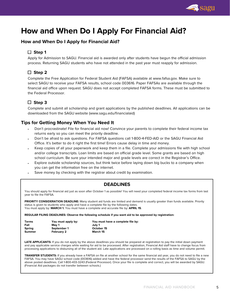

# <span id="page-4-0"></span>**How and When Do I Apply For Financial Aid?**

# **How and When Do I Apply for Financial Aid?**

# **Step 1**

Apply for Admission to SAGU. Financial aid is awarded only after students have begun the official admission process. Returning SAGU students who have not attended in the past year must reapply for admission.

# **Step 2**

Complete the Free Application for Federal Student Aid (FAFSA) available at www.fafsa.gov. Make sure to select SAGU to receive your FAFSA results, school code 003616. Paper FAFSAs are available through the financial aid office upon request. SAGU does not accept completed FAFSA forms. These must be submitted to the Federal Processor.

# **Step 3**

Complete and submit all scholarship and grant applications by the published deadlines. All applications can be downloaded from the SAGU website (www.sagu.edu/financialaid)

## **Tips for Getting Money When You Need It**

- Don't procrastinate! File for financial aid now! Convince your parents to complete their federal income tax returns early so you can meet the priority deadline.
- Don't be afraid to ask questions. For FAFSA questions call 1-800-4-FED-AID or the SAGU Financial Aid Office. It's better to do it right the first time! Errors cause delay in time and money.
- Keep copies of all your paperwork and keep them in a file. Complete your admissions file with high school and/or college transcripts. Loan limits are based on official grade level. Some grants are based on high school curriculum. Be sure your intended major and grade levels are correct in the Registrar's Office.
- Explore outside scholarship sources, but think twice before laying down big bucks to a company when you can get the information free on the internet.
- Save money by checking with the registrar about credit by examination.

# **DEADLINES**

You should apply for financial aid just as soon after October 1 as possible! You will need your completed federal income tax forms from last year to file the FAFSA.

**PRIORITY CONSIDERATION DEADLINE:** Many student aid funds are limited and demand is usually greater than funds available. Priority status is given to students who apply and have a complete file by the following dates. You must apply by: **MARCH 1.** You must have a complete and accurate file by: **APRIL 15**.

**REGULAR FILING DEADLINES: Observe the following schedule if you want aid to be approved by registration:**

| Terms<br>Fall | You must apply by:<br>Mav 1 | You must have a complete file by:<br>July 1 |
|---------------|-----------------------------|---------------------------------------------|
| Spring        | September 1                 | October 15                                  |
| <b>Summer</b> | <b>February 2</b>           | March 15                                    |

LATE APPLICANTS: If you do not apply by the above deadlines you should be prepared at registration to pay the initial down payment and pay applicable service charges while waiting for aid to be processed. After registration, Financial Aid staff have to change focus from processing applications to disbursing all of the student aid. Late applications are processed on a rolling basis as time and volume permit.

TRANSFER STUDENTS: If you already have a FAFSA on file at another school for the same financial aid year, you do not need to file a new FAFSA. You may have SAGU school code (003616) added and have the federal processor send the results of the FAFSA to SAGU by the above posted deadlines. Call 1-800-433-3243 (Federal Processor). Once your file is complete and correct, you will be awarded by SAGU. (Financial Aid packages do not transfer between schools.)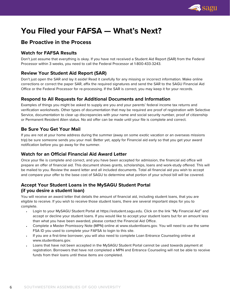

# <span id="page-5-0"></span>**You Filed your FAFSA — What's Next?**

# **Be Proactive in the Process**

# **Watch for FAFSA Results**

Don't just assume that everything is okay. If you have not received a Student Aid Report (SAR) from the Federal Processor within 3 weeks, you need to call the Federal Processor at 1-800-433-3243.

# **Review Your Student Aid Report (SAR)**

Don't just open the SAR and lay it aside! Read it carefully for any missing or incorrect information. Make online corrections or correct the paper SAR, affix the required signatures and send the SAR to the SAGU Financial Aid Office or the Federal Processor for re-processing. If the SAR is correct, you may keep it for your records.

# **Respond to All Requests for Additional Documents and Information**

Examples of things you might be asked to supply are you and your parents' federal income tax returns and verification worksheets. Other types of documentation that may be required are proof of registration with Selective Service, documentation to clear up discrepancies with your name and social security number, proof of citizenship or Permanent Resident Alien status. No aid offer can be made until your file is complete and correct.

# **Be Sure You Get Your Mail**

If you are not at your home address during the summer (away on some exotic vacation or an overseas missions trip) be sure someone sends you your mail. Better yet, apply for Financial aid early so that you get your award notification before you go away for the summer.

# **Watch for an Official Financial Aid Award Letter**

Once your file is complete and correct, and you have been accepted for admission, the financial aid office will prepare an offer of financial aid. This document shows grants, scholarships, loans and work-study offered. This will be mailed to you. Review the award letter and all included documents. Total all financial aid you wish to accept and compare your offer to the base cost of SAGU to determine what portion of your school bill will be covered.

# **Accept Your Student Loans in the MySAGU Student Portal (if you desire a student loan)**

You will receive an award letter that details the amount of financial aid, including student loans, that you are eligible to receive. If you wish to receive those student loans, there are several important steps for you to complete.

- Login to your MySAGU Student Portal at https://estudent.sagu.edu. Click on the link "My Financial Aid" and accept or decline your student loans. If you would like to accept your student loans but for an amount less than what you have been awarded, please contact the Financial Aid Office.
- Complete a Master Promissory Note (MPN) online at www.studentloans.gov. You will need to use the same FSA ID you used to complete your FAFSA to login to this site.
- If you are a first-time borrower, you will also need to complete Loan Entrance Counseling online at www.studentloans.gov.
- Loans that have not been accepted in the MySAGU Student Portal cannot be used towards payment at registration. Borrowers that have not completed a MPN and Entrance Counseling will not be able to receive funds from their loans until these items are completed.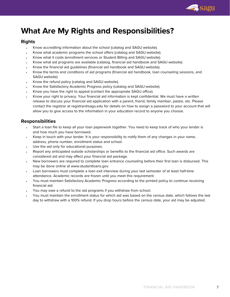

# <span id="page-6-0"></span>**What Are My Rights and Responsibilities?**

## **Rights**

- Know accrediting information about the school (catalog and SAGU website).
- Know what academic programs the school offers (catalog and SAGU website).
- Know what it costs (enrollment services or Student Billing and SAGU website).
- Know what aid programs are available (catalog, financial aid handbook and SAGU website).
- Know the financial aid guidelines (financial aid handbook and SAGU website).
- Know the terms and conditions of aid programs (financial aid handbook, loan counseling sessions, and SAGU website).
- Know the refund policy (catalog and SAGU website).
- Know the Satisfactory Academic Progress policy (catalog and SAGU website).
- Know you have the right to appeal (contact the appropriate SAGU office).
- Know your right to privacy. Your financial aid information is kept confidential. We must have a written release to discuss your financial aid application with a parent, friend, family member, pastor, etc. Please contact the registrar at registrar@sagu.edu for details on how to assign a password to your account that will allow you to give access to the information in your education record to anyone you choose.

# **Responsibilities**

- Start a loan file to keep all your loan paperwork together. You need to keep track of who your lender is and how much you have borrowed.
- Keep in touch with your lender. It is your responsibility to notify them of any changes in your name, address, phone number, enrollment status and school.
- Use the aid only for educational purposes.
- Report any anticipated outside scholarships or benefits to the financial aid office. Such awards are considered aid and may affect your financial aid package.
- New borrowers are required to complete loan entrance counseling before their first loan is disbursed. This may be done online at www.studentloans.gov.
- Loan borrowers must complete a loan exit interview during your last semester of at least half-time attendance. Academic records are frozen until you meet this requirement.
- You must maintain Satisfactory Academic Progress according to the printed policy to continue receiving financial aid.
- You may owe a refund to the aid programs if you withdraw from school.
- You must maintain the enrollment status for which aid was based on the census date, which follows the last day to withdraw with a 100% refund. If you drop hours before the census date, your aid may be adjusted.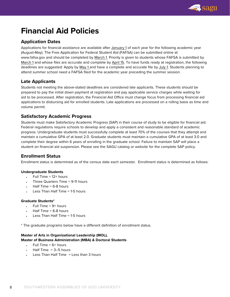

# <span id="page-7-0"></span>**Financial Aid Policies**

# **Application Dates**

Applications for financial assistance are available after January 1 of each year for the following academic year (August-May). The Free Application for Federal Student Aid (FAFSA) can be submitted online at www.fafsa.gov and should be completed by March 1. Priority is given to students whose FAFSA is submitted by March 1 and whose files are accurate and complete by April 15. To have funds ready at registration, the following deadlines are suggested: Apply by May 1 and have a complete and accurate file by July 1. Students planning to attend summer school need a FAFSA filed for the academic year preceding the summer session.

# **Late Applicants**

Students not meeting the above-stated deadlines are considered late applicants. These students should be prepared to pay the initial down payment at registration and pay applicable service charges while waiting for aid to be processed. After registration, the Financial Aid Office must change focus from processing financial aid applications to disbursing aid for enrolled students. Late applications are processed on a rolling basis as time and volume permit.

# **Satisfactory Academic Progress**

Students must make Satisfactory Academic Progress (SAP) in their course of study to be eligible for financial aid. Federal regulations require schools to develop and apply a consistent and reasonable standard of academic progress. Undergraduate students must successfully complete at least 70% of the courses that they attempt and maintain a cumulative GPA of at least 2.0. Graduate students must maintain a cumulative GPA of at least 3.0 and complete their degree within 6 years of enrolling in the graduate school. Failure to maintain SAP will place a student on financial aid suspension. Please see the SAGU catalog or website for the complete SAP policy.

# **Enrollment Status**

Enrollment status is determined as of the census date each semester. Enrollment status is determined as follows:

#### **Undergraduate Students**

- $\cdot$  Full Time = 12+ hours
- Three Quarters Time  $= 9-11$  hours
- $Half Time = 6-8 hours$
- Less Than Half Time = 1-5 hours

#### **Graduate Students\***

- Full Time  $= 9+$  hours
- Half Time  $= 6-8$  hours
- Less Than Half Time = 1-5 hours

\* The graduate programs below have a different definition of enrollment status.

#### **Master of Arts in Organizational Leadership (MOL), Master of Business Administration (MBA) & Doctoral Students**

- $F \cdot \text{H}$  Time = 6+ hours
- Half Time  $= 3-5$  hours
- Less Than Half Time = Less than 3 hours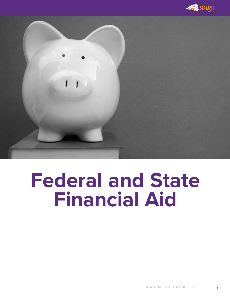

<span id="page-8-0"></span>

# **Federal and State Financial Aid**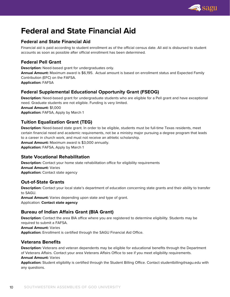

# **Federal and State Financial Aid**

# **Federal and State Financial Aid**

Financial aid is paid according to student enrollment as of the official census date. All aid is disbursed to student accounts as soon as possible after official enrollment has been determined.

# **Federal Pell Grant**

**Description:** Need-based grant for undergraduates only.

**Annual Amount:** Maximum award is \$6,195. Actual amount is based on enrollment status and Expected Family Contribution (EFC) on the FAFSA.

**Application:** FAFSA

# **Federal Supplemental Educational Opportunity Grant (FSEOG)**

**Description:** Need-based grant for undergraduate students who are eligible for a Pell grant and have exceptional need. Graduate students are not eligible. Funding is very limited. **Annual Amount:** \$1,000 **Application:** FAFSA, Apply by March 1

# **Tuition Equalization Grant (TEG)**

**Description:** Need-based state grant. In order to be eligible, students must be full-time Texas residents, meet certain financial need and academic requirements, not be a ministry major pursuing a degree program that leads to a career in church work, and must not receive an athletic scholarship. **Annual Amount:** Maximum award is \$3,000 annually.

**Application:** FAFSA, Apply by March 1

# **State Vocational Rehabilitation**

**Description:** Contact your home state rehabilitation office for eligibility requirements **Annual Amount:** Varies **Application:** Contact state agency

# **Out-of-State Grants**

**Description:** Contact your local state's department of education concerning state grants and their ability to transfer to SAGU.

**Annual Amount:** Varies depending upon state and type of grant. Application: **Contact state agency**

# **Bureau of Indian Affairs Grant (BIA Grant)**

**Description:** Contact the area BIA office where you are registered to determine eligibility. Students may be required to submit a FAFSA.

**Annual Amount:** Varies

**Application:** Enrollment is certified through the SAGU Financial Aid Office.

# **Veterans Benefits**

**Description:** Veterans and veteran dependents may be eligible for educational benefits through the Department of Veterans Affairs. Contact your area Veterans Affairs Office to see if you meet eligibility requirements. **Annual Amount:** Varies

**Application:** Student eligibility is certified through the Student Billing Office. Contact studentbilling@sagu.edu with any questions.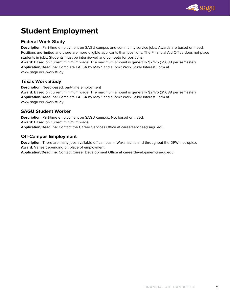

# <span id="page-10-0"></span>**Student Employment**

# **Federal Work Study**

**Description:** Part-time employment on SAGU campus and community service jobs. Awards are based on need. Positions are limited and there are more eligible applicants than positions. The Financial Aid Office does not place students in jobs. Students must be interviewed and compete for positions.

**Award:** Based on current minimum wage. The maximum amount is generally \$2,176 (\$1,088 per semester). **Application/Deadline:** Complete FAFSA by May 1 and submit Work Study Interest Form at www.sagu.edu/workstudy.

# **Texas Work Study**

**Description:** Need-based, part-time employment

**Award:** Based on current minimum wage. The maximum amount is generally \$2,176 (\$1,088 per semester). **Application/Deadline:** Complete FAFSA by May 1 and submit Work Study Interest Form at www.sagu.edu/workstudy.

# **SAGU Student Worker**

**Description:** Part-time employment on SAGU campus. Not based on need. **Award:** Based on current minimum wage. **Application/Deadline:** Contact the Career Services Office at careerservices@sagu.edu.

# **Off-Campus Employment**

**Description:** There are many jobs available off campus in Waxahachie and throughout the DFW metroplex. **Award:** Varies depending on place of employment.

**Application/Deadline:** Contact Career Development Office at careerdevelopment@sagu.edu.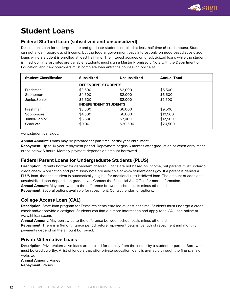

# <span id="page-11-0"></span>**Student Loans**

# **Federal Stafford Loan (subsidized and unsubsidized)**

Description: Loan for undergraduate and graduate students enrolled at least half-time (6 credit hours). Students can get a loan regardless of income, but the federal government pays interest only on need-based subsidized loans while a student is enrolled at least half time. The interest accrues on unsubsidized loans while the student is in school. Interest rates are variable. Students must sign a Master Promissory Note with the Department of Education, and new borrowers must complete loan entrance counseling online at

| <b>Student Classification</b> | <b>Subsidized</b>           | <b>Unsubsidized</b> | <b>Annual Total</b> |  |
|-------------------------------|-----------------------------|---------------------|---------------------|--|
|                               | <b>DEPENDENT STUDENTS</b>   |                     |                     |  |
| Freshman                      | \$3,500                     | \$2,000             | \$5,500             |  |
| Sophomore                     | \$4,500                     | \$2,000             | \$6,500             |  |
| Junior/Senior                 | \$5,500                     | \$2,000             | \$7,500             |  |
|                               | <b>INDEPENDENT STUDENTS</b> |                     |                     |  |
| Freshman                      | \$3,500                     | \$6,000             | \$9,500             |  |
| Sophomore                     | \$4,500                     | \$6,000             | \$10,500            |  |
| Junior/Senior                 | \$5,500                     | \$7,000             | \$12,500            |  |
| Graduate                      | \$0.00                      | \$20,500            | \$20,500            |  |

www.studentloans.gov.

**Annual Amount:** Loans may be prorated for part-time, partial year enrollment.

**Repayment:** Up to 10-year repayment period. Repayment begins 6 months after graduation or when enrollment drops below 6 hours. Monthly payment depends on amount borrowed.

# **Federal Parent Loans for Undergraduate Students (PLUS)**

**Description:** Parents borrow for dependent children. Loans are not based on income, but parents must undergo credit check. Application and promissory note are available at www.studentloans.gov. If a parent is denied a PLUS loan, then the student is automatically eligible for additional unsubsidized loan. The amount of additional unsubsidized loan depends on grade level. Contact the Financial Aid Office for more information. **Annual Amount:** May borrow up to the difference between school costs minus other aid. **Repayment:** Several options available for repayment. Contact lender for options.

**College Access Loan (CAL)**

**Description:** State loan program for Texas residents enrolled at least half time. Students must undergo a credit check and/or provide a cosigner. Students can find out more information and apply for a CAL loan online at www.hhloans.com.

**Annual Amount:** May borrow up to the difference between school costs minus other aid.

**Repayment:** There is a 6-month grace period before repayment begins. Length of repayment and monthly payments depend on the amount borrowed.

# **Private/Alternative Loans**

**Description:** Private/alternative loans are applied for directly from the lender by a student or parent. Borrowers must be credit worthy. A list of lenders that offer private education loans is available through the financial aid website.

**Annual Amount:** Varies **Repayment:** Varies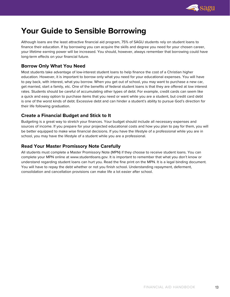

# <span id="page-12-0"></span>**Your Guide to Sensible Borrowing**

Although loans are the least attractive financial aid program, 75% of SAGU students rely on student loans to finance their education. If by borrowing you can acquire the skills and degree you need for your chosen career, your lifetime earning power will be increased. You should, however, always remember that borrowing could have long-term effects on your financial future.

# **Borrow Only What You Need**

Most students take advantage of low-interest student loans to help finance the cost of a Christian higher education. However, it is important to borrow only what you need for your educational expenses. You will have to pay back, with interest, what you borrow. When you get out of school, you may want to purchase a new car, get married, start a family, etc. One of the benefits of federal student loans is that they are offered at low interest rates. Students should be careful of accumulating other types of debt. For example, credit cards can seem like a quick and easy option to purchase items that you need or want while you are a student, but credit card debt is one of the worst kinds of debt. Excessive debt and can hinder a student's ability to pursue God's direction for their life following graduation.

# **Create a Financial Budget and Stick to It**

Budgeting is a great way to stretch your finances. Your budget should include all necessary expenses and sources of income. If you prepare for your projected educational costs and how you plan to pay for them, you will be better equipped to make wise financial decisions. If you have the lifestyle of a professional while you are in school, you may have the lifestyle of a student while you are a professional.

# **Read Your Master Promissory Note Carefully**

All students must complete a Master Promissory Note (MPN) if they choose to receive student loans. You can complete your MPN online at www.studentloans.gov. It is important to remember that what you don't know or understand regarding student loans can hurt you. Read the fine print on the MPN. It is a legal binding document. You will have to repay the debt whether or not you finish school. Understanding repayment, deferment, consolidation and cancellation provisions can make life a lot easier after school.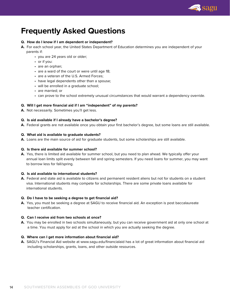

# <span id="page-13-0"></span>**Frequently Asked Questions**

#### **Q. How do I know if I am dependent or independent?**

- **A.** For each school year, the United States Department of Education determines you are independent of your parents if:
	- you are 24 years old or older;
	- or if you:
	- are an orphan;
	- are a ward of the court or were until age 18;
	- are a veteran of the U.S. Armed Forces;
	- have legal dependents other than a spouse;
	- will be enrolled in a graduate school;
	- are married; or
	- can prove to the school extremely unusual circumstances that would warrant a dependency override.

#### **Q. Will I get more financial aid if I am "independent" of my parents?**

**A.** Not necessarily. Sometimes you'll get less.

#### **Q. Is aid available if I already have a bachelor's degree?**

**A.** Federal grants are not available once you obtain your first bachelor's degree, but some loans are still available.

#### **Q. What aid is available to graduate students?**

**A.** Loans are the main source of aid for graduate students, but some scholarships are still available.

#### **Q. Is there aid available for summer school?**

**A.** Yes, there is limited aid available for summer school, but you need to plan ahead. We typically offer your annual loan limits split evenly between fall and spring semesters. If you need loans for summer, you may want to borrow less for fall/spring.

#### **Q. Is aid available to international students?**

**A.** Federal and state aid is available to citizens and permanent resident aliens but not for students on a student visa. International students may compete for scholarships. There are some private loans available for international students.

#### **Q. Do I have to be seeking a degree to get financial aid?**

**A.** Yes, you must be seeking a degree at SAGU to receive financial aid. An exception is post baccalaureate teacher certification.

#### **Q. Can I receive aid from two schools at once?**

**A.** You may be enrolled in two schools simultaneously, but you can receive government aid at only one school at a time. You must apply for aid at the school in which you are actually seeking the degree.

#### **Q. Where can I get more information about financial aid?**

**A.** SAGU's Financial Aid website at www.sagu.edu/financialaid has a lot of great information about financial aid including scholarships, grants, loans, and other outside resources.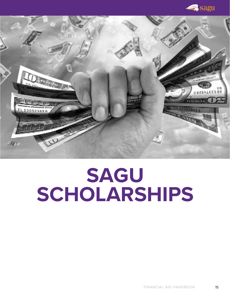**A** sagu

<span id="page-14-0"></span>

# **SAGU SCHOLARSHIPS**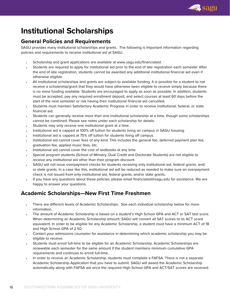

# **Institutional Scholarships**

# **General Policies and Requirements**

SAGU provides many institutional scholarships and grants. The following is important information regarding policies and requirements to receive institutional aid at SAGU.

- Scholarship and grant applications are available at www.sagu.edu/financialaid.
- Students are required to apply for institutional aid prior to the end of late registration each semester After the end of late registration, students cannot be awarded any additional institutional financial aid even if otherwise eligible.
- All institutional scholarships and grants are subject to available funding. It is possible for a student to not receive a scholarship/grant that they would have otherwise been eligible to receive simply because there is no more funding available. Students are encouraged to apply as soon as possible. In addition, students must be accepted, pay any required enrollment deposit, and select courses at least 60 days before the start of the next semester or risk having their institutional financial aid cancelled.
- Students must maintain Satisfactory Academic Progress in order to receive institutional, federal, or state financial aid.
- Students can generally receive more than one institutional scholarship at a time, though some scholarships cannot be combined. Please see notes under each scholarship for details.
- Students may only receive one institutional grant at a time.
- Institutional aid is capped at 100% off tuition for students living on campus in SAGU housing.
- Institutional aid is capped at 75% off tuition for students living off campus.
- Institutional aid cannot cover fees of any kind. This includes the general fee, deferred payment plan fee, graduation fee, applied music fees, etc.
- Institutional aid cannot cover the cost of textbooks at any time.
- Special program students (School of Ministry, Dual Credit and Doctorate Students) are not eligible to receive any institutional aid other than their program discount.
- SAGU will not issue overpayment checks for students receiving only institutional aid, federal grants, and/ or state grants. In a case like this, institutional aid will be reduced as needed to make sure an overpayment check is not issued from only institutional aid, federal grants, and/or state grants.
- If you have any questions about these policies, please email financialaid@sagu.edu for assistance. We are happy to answer your questions.

# **Academic Scholarships—New First Time Freshmen**

- There are different levels of Academic Scholarships. See each individual scholarship below for more information.
- The amount of Academic Scholarship is based on a student's High School GPA and ACT or SAT test score. When determining an Academic Scholarship amount, SAGU will convert all SAT scores to its ACT score equivalent. In order to be eligible for any Academic Scholarship, a student must have a minimum ACT of 18 and High School GPA of 2.50.
- Contact your admissions counselor for assistance in determining which academic scholarship you may be eligible to receive.
- Students must enroll full-time to be eligible for an Academic Scholarship. Academic Scholarships are renewable each semester for the same amount if the student maintains minimum cumulative GPA requirements and continues to enroll full-time.
- In order to receive an Academic Scholarship, students must complete a FAFSA. There is not a separate Academic Scholarship Application that you have to submit. SAGU will award the Academic Scholarship automatically along with FAFSA aid once the required High School GPA and ACT/SAT scores are received.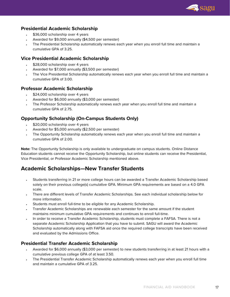

# **Presidential Academic Scholarship**

- \$36,000 scholarship over 4 years
- Awarded for \$9,000 annually (\$4,500 per semester)
- The Presidential Scholarship automatically renews each year when you enroll full time and maintain a cumulative GPA of 3.25.

## **Vice Presidential Academic Scholarship**

- \$28,000 scholarship over 4 years
- Awarded for \$7,000 annually (\$3,500 per semester)
- The Vice Presidential Scholarship automatically renews each year when you enroll full time and maintain a cumulative GPA of 3.00.

## **Professor Academic Scholarship**

- \$24,000 scholarship over 4 years
- Awarded for \$6,000 annually (\$3,000 per semester)
- The Professor Scholarship automatically renews each year when you enroll full time and maintain a cumulative GPA of 2.75.

# **Opportunity Scholarship (On-Campus Students Only)**

- \$20,000 scholarship over 4 years
- Awarded for \$5,000 annually (\$2,500 per semester)
- The Opportunity Scholarship automatically renews each year when you enroll full time and maintain a cumulative GPA of 2.00.

**Note:** The Opportunity Scholarship is only available to undergraduate on campus students. Online Distance Education students cannot receive the Opportunity Scholarship, but online students can receive the Presidential, Vice Presidential, or Professor Academic Scholarship mentioned above.

# **Academic Scholarships—New Transfer Students**

- Students transferring in 21 or more college hours can be awarded a Transfer Academic Scholarship based solely on their previous college(s) cumulative GPA. Minimum GPA requirements are based on a 4.0 GPA scale.
- There are different levels of Transfer Academic Scholarships. See each individual scholarship below for more information.
- Students must enroll full-time to be eligible for any Academic Scholarship.
- Transfer Academic Scholarships are renewable each semester for the same amount if the student maintains minimum cumulative GPA requirements and continues to enroll full-time.
- In order to receive a Transfer Academic Scholarship, students must complete a FAFSA. There is not a separate Academic Scholarship Application that you have to submit. SAGU will award the Academic Scholarship automatically along with FAFSA aid once the required college transcripts have been received and evaluated by the Admissions Office.

# **Presidential Transfer Academic Scholarship**

- Awarded for \$6,000 annually (\$3,000 per semester) to new students transferring in at least 21 hours with a cumulative previous college GPA of at least 3.50.
- The Presidential Transfer Academic Scholarship automatically renews each year when you enroll full time and maintain a cumulative GPA of 3.25.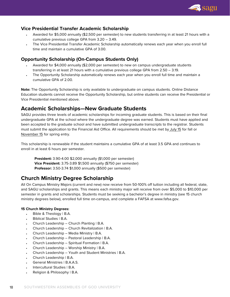

# **Vice Presidential Transfer Academic Scholarship**

- Awarded for \$5,000 annually (\$2,500 per semester) to new students transferring in at least 21 hours with a cumulative previous college GPA from 3.20 – 3.49.
- The Vice Presidential Transfer Academic Scholarship automatically renews each year when you enroll full time and maintain a cumulative GPA of 3.00.

#### **Opportunity Scholarship (On-Campus Students Only)**

- Awarded for \$4,000 annually (\$2,000 per semester) to new on campus undergraduate students transferring in at least 21 hours with a cumulative previous college GPA from 2.50 – 3.19.
- The Opportunity Scholarship automatically renews each year when you enroll full time and maintain a cumulative GPA of 2.00.

**Note:** The Opportunity Scholarship is only available to undergraduate on campus students. Online Distance Education students cannot receive the Opportunity Scholarship, but online students can receive the Presidential or Vice Presidential mentioned above.

# **Academic Scholarships—New Graduate Students**

SAGU provides three levels of academic scholarships for incoming graduate students. This is based on their final undergraduate GPA at the school where the undergraduate degree was earned. Students must have applied and been accepted to the graduate school and have submitted undergraduate transcripts to the registrar. Students must submit the application to the Financial Aid Office. All requirements should be met by July 15 for fall or November 15 for spring entry.

This scholarship is renewable if the student maintains a cumulative GPA of at least 3.5 GPA and continues to enroll in at least 6 hours per semester.

**President:** 3.90-4.00 \$2,000 annually (\$1,000 per semester) **Vice President:** 3.75-3.89 \$1,500 annually (\$750 per semester) **Professor:** 3.50-3.74 \$1,000 annually (\$500 per semester)

# **Church Ministry Degree Scholarship**

All On Campus Ministry Majors (current and new) now receive from 50-100% off tuition including all federal, state, and SAGU scholarships and grants. This means each ministry major will receive from over \$5,000 to \$10,000 per semester in grants and scholarships. Students must be seeking a bachelor's degree in ministry (see 15 church ministry degrees below), enrolled full time on-campus, and complete a FAFSA at www.fafsa.gov.

#### **15 Church Ministry Degrees:**

- Bible & Theology | B.A.
- Biblical Studies | B.A.
- Church Leadership Church Planting | B.A.
- Church Leadership Church Revitalization | B.A.
- Church Leadership Media Ministry | B.A.
- Church Leadership Pastoral Leadership | B.A.
- Church Leadership Spiritual Formation | B.A.
- Church Leadership Worship Ministry | B.A.
- Church Leadership Youth and Student Ministries | B.A.
- Church Leadership | B.A.
- General Ministries | B.A.A.S.
- Intercultural Studies | B.A.
- Religion & Philosophy | B.A.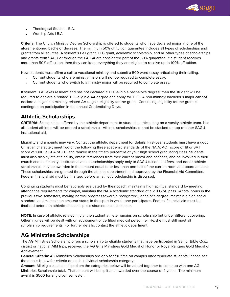

- Theological Studies | B.A.
- Worship Arts | B.A.

**Criteria:** The Church Ministry Degree Scholarship is offered to students who have declared major in one of the aforementioned bachelor degrees. The minimum 50% off tuition guarantee includes all types of scholarships and grants from all sources. A student's Pell grant, TEG grant, academic scholarship, and all other types of scholarships and grants from SAGU or through the FAFSA are considered part of the 50% guarantee. If a student receives more than 50% off tuition, then they can keep everything they are eligible to receive up to 100% off tuition.

New students must affirm a call to vocational ministry and submit a 500 word essay articulating their calling.

- Current students who are ministry majors will not be required to complete essay.
- Current students who switch to a ministry major will be required to complete essay.

If student is a Texas resident and has not declared a TEG-eligible bachelor's degree, then the student will be required to declare a related TEG-eligible AA degree and apply for TEG. A non-ministry bachelor's major **cannot** declare a major in a ministry-related AA to gain eligibility for the grant. Continuing eligibility for the grant is contingent on participation in the annual Credentialing Days.

# **Athletic Scholarships**

**CRITERIA:** Scholarships offered by the athletic department to students participating on a varsity athletic team. Not all student athletes will be offered a scholarship. Athletic scholarships cannot be stacked on top of other SAGU institutional aid.

Eligibility and amounts may vary. Contact the athletic department for details. First-year students must have a good Christian character; meet two of the following three academic standards of the NAIA: ACT score of 18 or SAT score of 1300, a GPA of 2.0, and ranked in the fiftieth percentile of your high school graduating class. Students must also display athletic ability, obtain references from their current pastor and coaches, and be involved in their church and community. Institutional athletic scholarships apply only to SAGU tuition and fees, and donor athletic scholarships may be awarded in the amount equal to or less than one-half of the current room and board amount. These scholarships are granted through the athletic department and approved by the Financial Aid Committee. Federal financial aid must be finalized before an athletic scholarship is disbursed.

Continuing students must be favorably evaluated by their coach, maintain a high spiritual standard by meeting attendance requirements for chapel, maintain the NAIA academic standard of a 2.0 GPA, pass 24 total hours in the previous two semesters, making normal progress toward a recognized Bachelor's degree, maintain a high social standard, and maintain an amateur status in the sport in which one participates. Federal financial aid must be finalized before an athletic scholarship is disbursed each semester.

**NOTE:** In case of athletic related injury, the student athlete remains on scholarship but under different covering. Other injuries will be dealt with on advisement of certified medical personnel. He/she must still meet all scholarship requirements. For further details, contact the athletic department.

# **AG Ministries Scholarships**

The AG Ministries Scholarship offers a scholarship to eligible students that have participated in Senior Bible Quiz, district or national AIM trips, received the AG Girls Ministries Gold Medal of Honor or Royal Rangers Gold Medal of Achievement.

**General Criteria:** AG Ministries Scholarships are only for full time on campus undergraduate students. Please see the details below for criteria on each individual scholarship category.

**Amount:** All eligible scholarships from the categories below will be added together to come up with one AG Ministries Scholarship total. That amount will be split and awarded over the course of 4 years. The minimum award is \$500 for any given semester.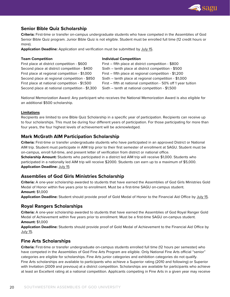

# **Senior Bible Quiz Scholarship**

**Criteria:** First-time or transfer on-campus undergraduate students who have competed in the Assemblies of God Senior Bible Quiz program. Junior Bible Quiz is not eligible. Student must be enrolled full time (12 credit hours or more).

**Application Deadline:** Application and verification must be submitted by July 15.

| <b>Team Competition</b>                        | <b>Individual Competition</b>                                  |
|------------------------------------------------|----------------------------------------------------------------|
| First place at district competition - \$600    | First - fifth place at district competition - \$800            |
| Second place at district competition - \$400   | Sixth – tenth place at district competition - \$500            |
| First place at regional competition - \$1,000  | First – fifth place at regional competition - \$1,200          |
| Second place at regional competition - \$850   | Sixth - tenth place at regional competition - \$1,000          |
| First place at national competition - \$1,500  | First – fifth at national competition - 50% off 1 year tuition |
| Second place at national competition - \$1,300 | Sixth – tenth at national competition - \$1,500                |

National Memorization Award: Any participant who receives the National Memorization Award is also eligible for an additional \$500 scholarship.

#### **Limitations**

Recipients are limited to one Bible Quiz Scholarship in a specific year of participation. Recipients can receive up to four scholarships. This must be during four different years of participation. For those participating for more than four years, the four highest levels of achievement will be acknowledged.

#### **Mark McGrath AIM Participation Scholarship**

**Criteria:** First-time or transfer undergraduate students who have participated in an approved District or National AIM trip. Student must participate in AIM trip prior to their first semester of enrollment at SAGU. Student must be on-campus, enroll full-time, and present letter of verification from district or national office.

**Scholarship Amount:** Students who participated in a district led AIM trip will receive \$1,000. Students who participated in a nationally led AIM trip will receive \$2000. Students can earn up to a maximum of \$5,000. **Application Deadline: July 15** 

# **Assemblies of God Girls Ministries Scholarship**

**Criteria:** A one-year scholarship awarded to students that have earned the Assemblies of God Girls Ministries Gold Medal of Honor within five years prior to enrollment. Must be a first-time SAGU on-campus student. **Amount:** \$1,000

**Application Deadline:** Student should provide proof of Gold Medal of Honor to the Financial Aid Office by July 15.

#### **Royal Rangers Scholarships**

**Criteria:** A one-year scholarship awarded to students that have earned the Assemblies of God Royal Ranger Gold Medal of Achievement within five years prior to enrollment. Must be a first-time SAGU on-campus student. **Amount:** \$1,000

**Application Deadline:** Students should provide proof of Gold Medal of Achievement to the Financial Aid Office by July 15.

#### **Fine Arts Scholarships**

**Criteria:** First-time or transfer undergraduate on-campus students enrolled full time (12 hours per semester) who have competed in the Assemblies of God Fine Arts Program are eligible. Only National Fine Arts official "senior" categories are eligible for scholarships. Fine Arts junior categories and exhibition categories do not qualify. Fine Arts scholarships are available to participants who achieve a Superior rating (2010 and following) or Superior with Invitation (2009 and previous) at a district competition. Scholarships are available for participants who achieve at least an Excellent rating at a national competition. Applicants competing in Fine Arts in a given year may receive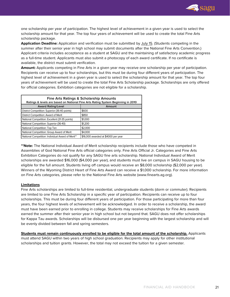

one scholarship per year of participation. The highest level of achievement in a given year is used to select the scholarship amount for that year. The top four years of achievement will be used to create the total Fine Arts scholarship package.

**Application Deadline:** Application and verification must be submitted by July 15. (Students competing in the summer after their senior year in high school may submit documents after the National Fine Arts Convention.) Applicant criteria includes acceptance as a student at SAGU and the maintaining of satisfactory academic progress as a full-time student. Applicants must also submit a photocopy of each award certificate. If no certificate is available, the district must submit verification.

**Amount:** Applicants competing in Fine Arts in a given year may receive one scholarship per year of participation. Recipients can receive up to four scholarships, but this must be during four different years of participation. The highest level of achievement in a given year is used to select the scholarship amount for that year. The top four years of achievement will be used to create the total Fine Arts Scholarship package. Scholarships are only offered for official categories. Exhibition categories are not eligible for a scholarship.

| <b>Fine Arts Ratings &amp; Scholarship Amounts</b><br>Ratings & levels are based on National Fine Arts Rating System Beginning in 2010 |                                     |  |  |
|----------------------------------------------------------------------------------------------------------------------------------------|-------------------------------------|--|--|
| <b>Award Rating/Level</b>                                                                                                              | Amount                              |  |  |
| District Competition: Superior (36-40 points)                                                                                          | \$600                               |  |  |
| District Competition: Award of Merit                                                                                                   | \$850                               |  |  |
| National Competition: Excellent (31-35 points)                                                                                         | \$1,000                             |  |  |
| National Competition: Superior (36-40)                                                                                                 | \$1,200                             |  |  |
| National Competition: Top Ten                                                                                                          | \$2,000                             |  |  |
| National Competition: Group Award of Merit                                                                                             | \$4,000                             |  |  |
| National Competition: Individual Award of Merit**                                                                                      | \$16,000 awarded at \$4000 per year |  |  |

**\*\*Note:** The National Individual Award of Merit scholarship recipients include those who have competed in Assemblies of God National Fine Arts official categories only. Fine Arts Official Jr. Categories and Fine Arts Exhibition Categories do not qualify for any SAGU fine arts scholarship. National Individual Award of Merit scholarships are awarded \$16,000 (\$4,000 per year), and students must live on campus in SAGU housing to be eligible for the full amount. Students living off campus would receive an \$8,000 scholarship (\$2,000 per year). Winners of the Wyoming District Heart of Fine Arts Award can receive a \$1,000 scholarship. For more information on Fine Arts categories, please refer to the National Fine Arts website (www.finearts.ag.org).

#### **Limitations**

Fine Arts scholarships are limited to full-time residential, undergraduate students (dorm or commuter). Recipients are limited to one Fine Arts Scholarship in a specific year of participation. Recipients can receive up to four scholarships. This must be during four different years of participation. For those participating for more than four years, the four highest levels of achievement will be acknowledged. In order to receive a scholarship, the award must have been earned prior to enrolling in college. Students may receive scholarships for Fine Arts awards earned the summer after their senior year in high school but not beyond that. SAGU does not offer scholarships for Kappa Tau awards. Scholarships will be disbursed one per year beginning with the largest scholarship and will be evenly divided between fall and spring semesters.

**Students must remain continuously enrolled to be eligible for the total amount of the scholarship.** Applicants must attend SAGU within two years of high school graduation. Recipients may apply for other institutional scholarships and tuition grants. However, the total may not exceed the tuition for a given semester.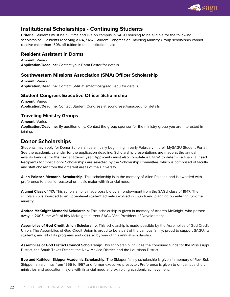

# **Institutional Scholarships - Continuing Students**

**Criteria:** Students must be full time and live on campus in SAGU housing to be eligible for the following scholarships. Students receiving a RA, SMA, Student Congress or Traveling Ministry Group scholarship cannot receive more than 150% off tuition in total institutional aid.

## **Resident Assistant in Dorms**

**Amount:** Varies **Application/Deadline:** Contact your Dorm Pastor for details.

# **Southwestern Missions Association (SMA) Officer Scholarship**

**Amount:** Varies **Application/Deadline:** Contact SMA at smaofficer@sagu.edu for details.

# **Student Congress Executive Officer Scholarship**

**Amount:** Varies **Application/Deadline:** Contact Student Congress at scongress@sagu.edu for details.

# **Traveling Ministry Groups**

**Amount:** Varies **Application/Deadline:** By audition only. Contact the group sponsor for the ministry group you are interested in joining.

# **Donor Scholarships**

Students may apply for Donor Scholarships annually beginning in early February in their MySAGU Student Portal. See the academic calendar for the application deadline. Scholarship presentations are made at the annual awards banquet for the next academic year. Applicants must also complete a FAFSA to determine financial need. Recipients for most Donor Scholarships are selected by the Scholarship Committee, which is comprised of faculty and staff chosen from the different areas of the University.

**Allen Poldson Memorial Scholarship:** This scholarship is in the memory of Allen Poldson and is awarded with preference to a senior pastoral or music major with financial need.

**Alumni Class of '47:** This scholarship is made possible by an endowment from the SAGU class of 1947. The scholarship is awarded to an upper-level student actively involved in church and planning on entering full-time ministry.

**Andrea McKnight Memorial Scholarship:** This scholarship is given in memory of Andrea McKnight, who passed away in 2005, the wife of Irby McKnight, current SAGU Vice President of Development.

**Assemblies of God Credit Union Scholarship:** This scholarship is made possible by the Assemblies of God Credit Union. The Assemblies of God Credit Union is proud to be a part of the campus family, proud to support SAGU, its students, and all of its programs and does so by way of this annual scholarship.

**Assemblies of God District Council Scholarship:** This scholarship includes the combined funds for the Mississippi District, the South Texas District, the New Mexico District, and the Louisiana District.

**Bob and Kathleen Skipper Academic Scholarship:** The Skipper family scholarship is given in memory of Rev. Bob Skipper, an alumnus from 1955 to 1957 and former executive presbyter. Preference is given to on-campus church ministries and education majors with financial need and exhibiting academic achievement.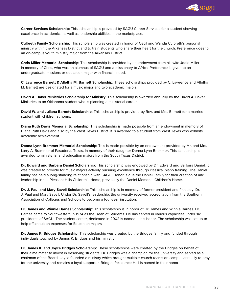

**Career Services Scholarship:** This scholarship is provided by SAGU Career Services for a student showing excellence in academics as well as leadership abilities in the marketplace.

**Culbreth Family Scholarship:** This scholarship was created in honor of Cecil and Wanda Culbreth's personal ministry within the Arkansas District and to train students who share their heart for the church. Preference goes to an on-campus youth ministry major from the Arkansas District.

**Chris Miller Memorial Scholarship:** This scholarship is provided by an endowment from his wife Jodie Miller in memory of Chris, who was an alumnus of SAGU and a missionary to Africa. Preference is given to an undergraduate missions or education major with financial need.

**C. Lawrence Barnett & Alletha M. Barnett Scholarship:** These scholarships provided by C. Lawrence and Alletha M. Barnett are designated for a music major and two academic majors.

**David A. Baker Ministries Scholarship for Ministry:** This scholarship is awarded annually by the David A. Baker Ministries to an Oklahoma student who is planning a ministerial career.

**David W. and Juliana Barnett Scholarship:** This scholarship is provided by Rev. and Mrs. Barnett for a married student with children at home.

**Diana Ruth Davis Memorial Scholarship:** This scholarship is made possible from an endowment in memory of Diana Ruth Davis and also by the West Texas District. It is awarded to a student from West Texas who exhibits academic achievement.

**Donna Lynn Brammer Memorial Scholarship:** This is made possible by an endowment provided by Mr. and Mrs. Larry A. Brammer of Pasadena, Texas, in memory of their daughter Donna Lynn Brammer. This scholarship is awarded to ministerial and education majors from the South Texas District.

**Dr. Edward and Barbara Daniel Scholarship:** This scholarship was endowed by Dr. Edward and Barbara Daniel. It was created to provide for music majors actively pursuing excellence through classical piano training. The Daniel family has held a long-standing relationship with SAGU. Honor is due the Daniel Family for their creation of and leadership in the Pleasant Hills Children's Home, previously the Daniel Memorial Children's Home.

**Dr. J. Paul and Mary Savell Scholarship:** This scholarship is in memory of former president and first lady, Dr. J. Paul and Mary Savell. Under Dr. Savell's leadership, the university received accreditation from the Southern Association of Colleges and Schools to become a four-year institution.

**Dr. James and Winnie Barnes Scholarship:** This scholarship is in honor of Dr. James and Winnie Barnes. Dr. Barnes came to Southwestern in 1974 as the Dean of Students. He has served in various capacities under six presidents of SAGU. The student center, dedicated in 2002 is named in his honor. The scholarship was set up to help offset tuition expenses for Education majors.

**Dr. James K. Bridges Scholarship:** This scholarship was created by the Bridges family and funded through individuals touched by James K. Bridges and his ministry.

**Dr. James K. and Joyce Bridges Scholarship:** These scholarships were created by the Bridges on behalf of their alma mater to invest in deserving students. Dr. Bridges was a champion for the university and served as a chairman of the Board. Joyce founded a ministry which brought multiple church teams on campus annually to pray for the university and remains a loyal supporter. Bridges Residence Hall is named in their honor.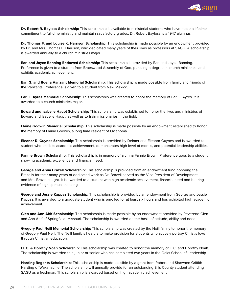

**Dr. Robert R. Bayless Scholarship:** This scholarship is available to ministerial students who have made a lifetime commitment to full-time ministry and maintain satisfactory grades. Dr. Robert Bayless is a 1947 alumnus.

**Dr. Thomas F. and Louise K. Harrison Scholarship:** This scholarship is made possible by an endowment provided by Dr. and Mrs. Thomas F. Harrison, who dedicated many years of their lives as professors at SAGU. A scholarship is awarded annually to a church ministries major.

**Earl and Joyce Banning Endowed Scholarship:** This scholarship is provided by Earl and Joyce Banning. Preference is given to a student from Braeswood Assembly of God, pursuing a degree in church ministries, and exhibits academic achievement.

**Earl G. and Roena Vanzant Memorial Scholarship:** This scholarship is made possible from family and friends of the Vanzants. Preference is given to a student from New Mexico.

**Earl L. Ayres Memorial Scholarship:** This scholarship was created to honor the memory of Earl L. Ayres. It is awarded to a church ministries major.

**Edward and Isabelle Haupt Scholarship:** This scholarship was established to honor the lives and ministries of Edward and Isabelle Haupt, as well as to train missionaries in the field.

**Elaine Godwin Memorial Scholarship:** This scholarship is made possible by an endowment established to honor the memory of Elaine Godwin, a long time resident of Oklahoma.

**Eleanor R. Guynes Scholarship:** This scholarship is provided by Delmer and Eleanor Guynes and is awarded to a student who exhibits academic achievement, demonstrates high level of morals, and potential leadership abilities.

**Fannie Brown Scholarship:** This scholarship is in memory of alumna Fannie Brown. Preference goes to a student showing academic excellence and financial need.

**George and Anna Brazell Scholarship:** This scholarship is provided from an endowment fund honoring the Brazells for their many years of dedicated work as Dr. Brazell served as the Vice President of Development and Mrs. Brazell taught. It is awarded to a student with high academic achievement, financial need and bearing evidence of high spiritual standing.

**George and Jessie Kappaz Scholarship:** This scholarship is provided by an endowment from George and Jessie Kappaz. It is awarded to a graduate student who is enrolled for at least six hours and has exhibited high academic achievement.

**Glen and Ann Ahlf Scholarship:** This scholarship is made possible by an endowment provided by Reverend Glen and Ann Ahlf of Springfield, Missouri. The scholarship is awarded on the basis of attitude, ability and need.

**Gregory Paul Neill Memorial Scholarship:** This scholarship was created by the Neill family to honor the memory of Gregory Paul Neill. The Neill family's heart is to make provision for students who actively portray Christ's love through Christian education.

**H. C. & Dorothy Noah Scholarship:** This scholarship was created to honor the memory of H.C. and Dorothy Noah. The scholarship is awarded to a junior or senior who has completed two years in the Oaks School of Leadership.

**Harding Regents Scholarship:** This scholarship is made possible by a grant from Robert and Shawnee Griffith Harding of Waxahachie. The scholarship will annually provide for an outstanding Ellis County student attending SAGU as a freshman. This scholarship is awarded based on high academic achievement.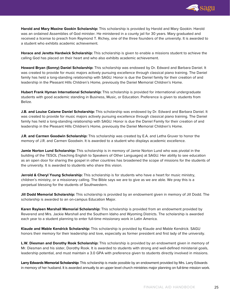

**Harold and Mary Maxine Gookin Scholarship:** This scholarship is provided by Harold and Mary Gookin. Harold was an ordained Assemblies of God minister. He ministered in a county jail for 30 years. Mary graduated and received a license to preach from Raymond T. Richey, one of the three founders of the university. It is awarded to a student who exhibits academic achievement.

**Horace and Jeretta Hardwick Scholarship:** This scholarship is given to enable a missions student to achieve the calling God has placed on their heart and who also exhibits academic achievement.

**Howard Bryan (Sonny) Daniel Scholarship:** This scholarship was endowed by Dr. Edward and Barbara Daniel. It was created to provide for music majors actively pursuing excellence through classical piano training. The Daniel family has held a long-standing relationship with SAGU. Honor is due the Daniel family for their creation of and leadership in the Pleasant Hills Children's Home, previously the Daniel Memorial Children's Home.

**Hubert Frank Hyman International Scholarship:** This scholarship is provided for international undergraduate students with good academic standing in Business, Music, or Education. Preference is given to students from Belize.

**J.B. and Louise Calame Daniel Scholarship:** This scholarship was endowed by Dr. Edward and Barbara Daniel. It was created to provide for music majors actively pursuing excellence through classical piano training. The Daniel family has held a long-standing relationship with SAGU. Honor is due the Daniel Family for their creation of and leadership in the Pleasant Hills Children's Home, previously the Daniel Memorial Children's Home.

**J.R. and Carmen Goodwin Scholarship:** This scholarship was created by E.A. and Letha Gruver to honor the memory of J.R. and Carmen Goodwin. It is awarded to a student who displays academic excellence.

**Jamie Norton Lund Scholarship:** This scholarship is in memory of Jamie Norton Lund who was pivotal in the building of the TESOL (Teaching English to Speakers of Other Languages) at SAGU. Her ability to see education as an open door for sharing the gospel in other countries has broadened the scope of missions for the students of the university. It is awarded to students who share this vision.

**Jerrold & Cheryl Young Scholarship:** This scholarship is for students who have a heart for music ministry, children's ministry, or a missionary calling. The Bible says we are to give as we are able. We pray this is a perpetual blessing for the students of Southwestern.

**Jill Dodd Memorial Scholarship:** This scholarship is provided by an endowment given in memory of Jill Dodd. The scholarship is awarded to an on-campus Education Major.

**Karen Rayleen Marshall Memorial Scholarship:** This scholarship is provided from an endowment provided by Reverend and Mrs. Jackie Marshall and the Southern Idaho and Wyoming Districts. The scholarship is awarded each year to a student planning to enter full-time missionary work in Latin America.

**Klaude and Mable Kendrick Scholarship:** This scholarship is provided by Klaude and Mable Kendrick. SAGU honors their memory for their leadership and love, especially as former president and first lady of the university.

**L.W. Diesman and Dorothy Rook Scholarship:** This scholarship is provided by an endowment given in memory of Mr. Diesman and his sister, Dorothy Rook. It is awarded to students with strong and well-defined ministerial goals, leadership potential, and must maintain a 3.0 GPA with preference given to students directly involved in missions.

**Larry Edwards Memorial Scholarship:** This scholarship is made possible by an endowment provided by Mrs. Larry Edwards in memory of her husband. It is awarded annually to an upper level church ministries major planning on full-time mission work.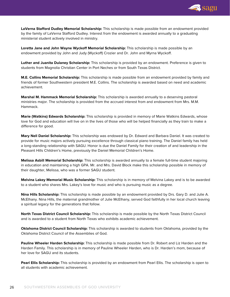

**LaVerna Stafford Dudley Memorial Scholarship:** This scholarship is made possible from an endowment provided by the family of LaVerna Stafford Dudley. Interest from the endowment is awarded annually to a graduating ministerial student actively involved in ministry.

**Loretta Jane and John Wayne Wyckoff Memorial Scholarship:** This scholarship is made possible by an endowment provided by John and Judy (Wyckoff) Crozier and Dr. John and Myrna Wyckoff.

**Luther and Juanita Dulaney Scholarship:** This scholarship is provided by an endowment. Preference is given to students from Magnolia Christian Center in Port Neches or from South Texas District.

**M.E. Collins Memorial Scholarship:** This scholarship is made possible from an endowment provided by family and friends of former Southwestern president M.E. Collins. The scholarship is awarded based on need and academic achievement.

**Marshal M. Hammack Memorial Scholarship:** This scholarship is awarded annually to a deserving pastoral ministries major. The scholarship is provided from the accrued interest from and endowment from Mrs. M.M. Hammack.

**Marie (Watkins) Edwards Scholarship:** This scholarship is provided in memory of Marie Watkins Edwards, whose love for God and education will live on in the lives of those who will be helped financially as they train to make a difference for good.

**Mary Nell Daniel Scholarship:** This scholarship was endowed by Dr. Edward and Barbara Daniel. It was created to provide for music majors actively pursuing excellence through classical piano training. The Daniel family has held a long-standing relationship with SAGU. Honor is due the Daniel Family for their creation of and leadership in the Pleasant Hills Children's Home, previously the Daniel Memorial Children's Home.

**Melissa Asbill Memorial Scholarship:** This scholarship is awarded annually to a female full-time student majoring in education and maintaining a high GPA. Mr. and Mrs. David Block make this scholarship possible in memory of their daughter, Melissa, who was a former SAGU student.

**Melvina Lakey Memorial Music Scholarship:** This scholarship is in memory of Melvina Lakey and is to be awarded to a student who shares Mrs. Lakey's love for music and who is pursuing music as a degree.

**Nina Hills Scholarship:** This scholarship is made possible by an endowment provided by Drs. Gary D. and Julie A. McElhany. Nina Hills, the maternal grandmother of Julie McElhany, served God faithfully in her local church leaving a spiritual legacy for the generations that follow.

**North Texas District Council Scholarship:** This scholarship is made possible by the North Texas District Council and is awarded to a student from North Texas who exhibits academic achievement.

**Oklahoma District Council Scholarship:** This scholarship is awarded to students from Oklahoma, provided by the Oklahoma District Council of the Assemblies of God.

**Pauline Wheeler Harden Scholarship:** This scholarship is made possible from Dr. Robert and Liz Harden and the Harden Family. This scholarship is in memory of Pauline Wheeler Harden, who is Dr. Harden's mom, because of her love for SAGU and its students.

**Pearl Ellis Scholarship:** This scholarship is provided by an endowment from Pearl Ellis. The scholarship is open to all students with academic achievement.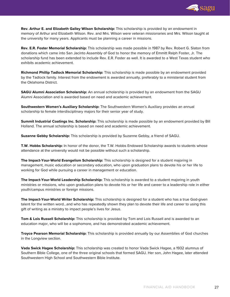

**Rev. Arthur E. and Elizabeth Galley Wilson Scholarship:** This scholarship is provided by an endowment in memory of Arthur and Elizabeth Wilson. Rev. and Mrs. Wilson were veteran missionaries and Mrs. Wilson taught at the university for many years. Applicants must be planning a career in missions.

**Rev. E.R. Foster Memorial Scholarship:** This scholarship was made possible in 1987 by Rev. Robert G. Slaton from donations which came into San Jacinto Assembly of God to honor the memory of Emmitt Ralph Foster, Jr. The scholarship fund has been extended to include Rev. E.R. Foster as well. It is awarded to a West Texas student who exhibits academic achievement.

**Richmond Phillip Tadlock Memorial Scholarship:** This scholarship is made possible by an endowment provided by the Tadlock family. Interest from the endowment is awarded annually, preferably to a ministerial student from the Oklahoma District.

**SAGU Alumni Association Scholarship:** An annual scholarship is provided by an endowment from the SAGU Alumni Association and is awarded based on need and academic achievement.

**Southwestern Women's Auxiliary Scholarship:** The Southwestern Women's Auxiliary provides an annual scholarship to female interdisciplinary majors for their senior year of study.

**Summit Industrial Coatings Inc. Scholarship:** This scholarship is made possible by an endowment provided by Bill Holland. The annual scholarship is based on need and academic achievement.

**Suzanne Gebby Scholarship:** This scholarship is provided by Suzanne Gebby, a friend of SAGU.

**T.W. Hobbs Scholarship:** In honor of the donor, the T.W. Hobbs Endowed Scholarship awards to students whose attendance at the university would not be possible without such a scholarship.

**The Impact-Your-World Evangelism Scholarship:** This scholarship is designed for a student majoring in management, music education or secondary education, who upon graduation plans to devote his or her life to working for God while pursuing a career in management or education.

**The Impact-Your-World Leadership Scholarship:** This scholarship is awarded to a student majoring in youth ministries or missions, who upon graduation plans to devote his or her life and career to a leadership role in either youth/campus ministries or foreign missions.

**The Impact-Your-World Writer Scholarship:** This scholarship is designed for a student who has a true God-given talent for the written word…and who has repeatedly shown they plan to devote their life and career to using this gift of writing as a ministry to impact people's lives for Jesus.

**Tom & Lois Russell Scholarship:** This scholarship is provided by Tom and Lois Russell and is awarded to an education major, who will be a sophomore, and has demonstrated academic achievement.

**Troyce Pearson Memorial Scholarship:** This scholarship is provided annually by our Assemblies of God churches in the Longview section.

**Vada Swick Hagee Scholarship:** This scholarship was created to honor Vada Swick Hagee, a 1932 alumnus of Southern Bible College, one of the three original schools that formed SAGU. Her son, John Hagee, later attended Southwestern High School and Southwestern Bible Institute.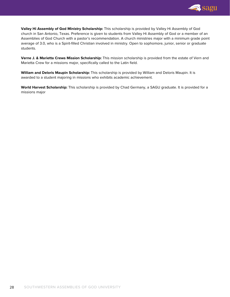

**Valley Hi Assembly of God Ministry Scholarship:** This scholarship is provided by Valley Hi Assembly of God church in San Antonio, Texas. Preference is given to students from Valley Hi Assembly of God or a member of an Assemblies of God Church with a pastor's recommendation. A church ministries major with a minimum grade point average of 3.0, who is a Spirit-filled Christian involved in ministry. Open to sophomore, junior, senior or graduate students.

**Verne J. & Marietta Crews Mission Scholarship:** This mission scholarship is provided from the estate of Vern and Marietta Crew for a missions major, specifically called to the Latin field.

**William and Deloris Maupin Scholarship:** This scholarship is provided by William and Deloris Maupin. It is awarded to a student majoring in missions who exhibits academic achievement.

**World Harvest Scholarship:** This scholarship is provided by Chad Germany, a SAGU graduate. It is provided for a missions major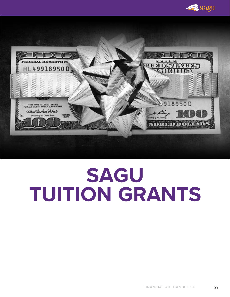

<span id="page-28-0"></span>

# **SAGU TUITION GRANTS**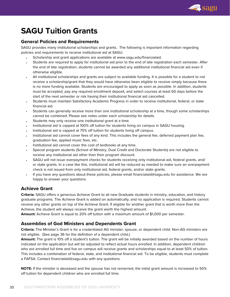

# **SAGU Tuition Grants**

## **General Policies and Requirements**

SAGU provides many institutional scholarships and grants. The following is important information regarding policies and requirements to receive institutional aid at SAGU.

- Scholarship and grant applications are available at www.sagu.edu/financialaid.
- Students are required to apply for institutional aid prior to the end of late registration each semester. After the end of late registration, students cannot be awarded any additional institutional financial aid even if otherwise eligible.
- All institutional scholarships and grants are subject to available funding. It is possible for a student to not receive a scholarship/grant that they would have otherwise been eligible to receive simply because there is no more funding available. Students are encouraged to apply as soon as possible. In addition, students must be accepted, pay any required enrollment deposit, and select courses at least 60 days before the start of the next semester or risk having their institutional financial aid cancelled.
- Students must maintain Satisfactory Academic Progress in order to receive institutional, federal, or state financial aid.
- Students can generally receive more than one institutional scholarship at a time, though some scholarships cannot be combined. Please see notes under each scholarship for details.
- Students may only receive one institutional grant at a time.
- Institutional aid is capped at 100% off tuition for students living on campus in SAGU housing.
- Institutional aid is capped at 75% off tuition for students living off campus.
- Institutional aid cannot cover fees of any kind. This includes the general fee, deferred payment plan fee, graduation fee, applied music fees, etc.
- Institutional aid cannot cover the cost of textbooks at any time.
- Special program students (School of Ministry, Dual Credit and Doctorate Students) are not eligible to receive any institutional aid other than their program discount.
- SAGU will not issue overpayment checks for students receiving only institutional aid, federal grants, and/ or state grants. In a case like this, institutional aid will be reduced as needed to make sure an overpayment check is not issued from only institutional aid, federal grants, and/or state grants.
- If you have any questions about these policies, please email financialaid@sagu.edu for assistance. We are happy to answer your questions.

# **Achieve Grant**

**Criteria:** SAGU offers a generous Achieve Grant to all new Graduate students in ministry, education, and history graduate programs. The Achieve Grant is added on automatically, and no application is required. Students cannot receive any other grants on top of the Achieve Grant. If eligible for another grant that is worth more than the Achieve, the student will always receive the grant worth the highest amount.

**Amount:** Achieve Grant is equal to 20% off tuition with a maximum amount of \$1,000 per semester.

# **Assemblies of God Ministers and Dependents Grant**

**Criteria:** The Minister's Grant is for a credentialed AG minister, spouse, or dependent child. Non-AG ministers are not eligible. (See page 36 for the definition of a dependent child.)

**Amount:** The grant is 10% off a student's tuition. The grant will be initially awarded based on the number of hours indicated on the application but will be adjusted to reflect actual hours enrolled. In addition, dependent children who are enrolled full time and live on campus will receive grants and scholarships equal to at least 50% of tuition. This includes a combination of federal, state, and institutional financial aid. To be eligible, students must complete a FAFSA. Contact financialaid@sagu.edu with any questions.

**NOTE:** If the minister is deceased and the spouse has not remarried, the initial grant amount is increased to 50% off tuition for dependent children who are enrolled full time.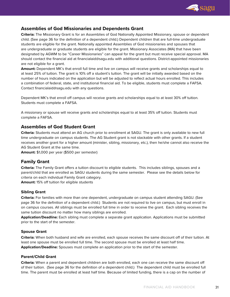

# **Assemblies of God Missionaries and Dependents Grant**

**Criteria:** The Missionary Grant is for an Assemblies of God Nationally Appointed Missionary, spouse or dependent child. (See page 36 for the definition of a dependent child.) Dependent children that are full-time undergraduate students are eligible for the grant. Nationally appointed Assemblies of God missionaries and spouses that are undergraduate or graduate students are eligible for the grant. Missionary Associates (MA) that have been designated by AGWM to be "Career Missionaries" can appeal for the grant but must receive special approval. MA should contact the financial aid at financialaid@sagu.edu with additional questions. District-appointed missionaries are not eligible for a grant.

**Amount:** Dependent MK's that enroll full time and live on campus will receive grants and scholarships equal to at least 25% of tuition. The grant is 10% off a student's tuition. The grant will be initially awarded based on the number of hours indicated on the application but will be adjusted to reflect actual hours enrolled. This includes a combination of federal, state, and institutional financial aid. To be eligible, students must complete a FAFSA. Contact financialaid@sagu.edu with any questions.

Dependent MK's that enroll off campus will receive grants and scholarships equal to at least 30% off tuition. Students must complete a FAFSA.

A missionary or spouse will receive grants and scholarships equal to at least 35% off tuition. Students must complete a FAFSA.

## **Assemblies of God Student Grant**

**Criteria:** Students must attend an AG church prior to enrollment at SAGU. The grant is only available to new full time undergraduate on campus students. The AG Student grant is not stackable with other grants. If a student receives another grant for a higher amount (minister, sibling, missionary, etc.), then he/she cannot also receive the AG Student Grant at the same time.

**Amount:** \$1,000 per year (\$500 per semester)

#### **Family Grant**

**Criteria:** The Family Grant offers a tuition discount to eligible students. This includes siblings, spouses and a parent/child that are enrolled as SAGU students during the same semester. Please see the details below for criteria on each individual Family Grant category.

**Amount:** 15% off tuition for eligible students

#### **Sibling Grant**

**Criteria:** For families with more than one dependent, undergraduate on campus student attending SAGU. (See page 36 for the definition of a dependent child.) Students are not required to live on campus, but must enroll in on campus courses. All siblings must be enrolled full time in order to receive the grant. Each sibling receives the same tuition discount no matter how many siblings are enrolled.

**Application/Deadline:** Each sibling must complete a separate grant application. Applications must be submitted prior to the start of the semester.

#### **Spouse Grant**

**Criteria:** When both husband and wife are enrolled, each spouse receives the same discount off of their tuition. At least one spouse must be enrolled full time. The second spouse must be enrolled at least half time. **Application/Deadline:** Spouses must complete an application prior to the start of the semester.

#### **Parent/Child Grant**

**Criteria:** When a parent and dependent children are both enrolled, each one can receive the same discount off of their tuition. (See page 36 for the definition of a dependent child.) The dependent child must be enrolled full time. The parent must be enrolled at least half time. Because of limited funding, there is a cap on the number of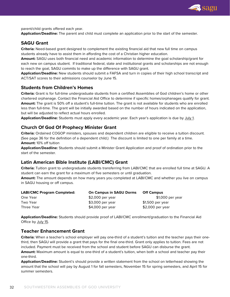

parent/child grants offered each year.

**Application/Deadline:** The parent and child must complete an application prior to the start of the semester.

# **SAGU Grant**

**Criteria:** Need-based grant designed to complement the existing financial aid that new full time on campus students already have to assist them in affording the cost of a Christian higher education.

**Amount:** SAGU uses both financial need and academic information to determine the goal scholarship/grant for each new on campus student. If traditional federal, state and institutional grants and scholarships are not enough to reach the goal, SAGU commits to make up the difference with SAGU grant.

**Application/Deadline:** New students should submit a FAFSA and turn in copies of their high school transcript and ACT/SAT scores to their admissions counselor by June 15.

#### **Students from Children's Homes**

**Criteria:** Grant is for full-time undergraduate students from a certified Assemblies of God children's home or other chartered orphanage. Contact the Financial Aid Office to determine if specific homes/orphanages qualify for grant. **Amount:** The grant is 50% off a student's full-time tuition. The grant is not available for students who are enrolled less than full-time. The grant will be initially awarded based on the number of hours indicated on the application, but will be adjusted to reflect actual hours enrolled.

**Application/Deadline:** Students must apply every academic year. Each year's application is due by July 1.

# **Church Of God Of Prophecy Minister Grant**

**Criteria:** Ordained COGOP ministers, spouses and dependent children are eligible to receive a tuition discount. (See page 36 for the definition of a dependent child.) The discount is limited to one per family at a time. **Amount:** 10% off tuition

**Application/Deadline:** Students should submit a Minister Grant Application and proof of ordination prior to the start of the semester.

# **Latin American Bible Institute (LABI/CMC) Grant**

**Criteria:** Tuition grant to undergraduate students transferring from LABI/CMC that are enrolled full time at SAGU. A student can earn the grant for a maximum of five semesters or until graduation.

**Amount:** The amount depends on how many years you completed at LABI/CMC and whether you live on campus in SAGU housing or off campus.

| <b>LABI/CMC Program Completed:</b> | <b>On Campus in SAGU Dorms</b> | <b>Off Campus</b> |
|------------------------------------|--------------------------------|-------------------|
| One Year                           | \$2,000 per year               | \$1,000 per year  |
| Two Year                           | \$3,000 per year               | \$1,500 per year  |
| Three Year                         | $$4,000$ per year              | \$2,000 per year  |

**Application/Deadline:** Students should provide proof of LABI/CMC enrollment/graduation to the Financial Aid Office by July 15.

## **Teacher Enhancement Grant**

**Criteria:** When a teacher's school employer will pay one-third of a student's tuition and the teacher pays their onethird, then SAGU will provide a grant that pays for the final one-third. Grant only applies to tuition. Fees are not included. Payment must be received from the school and student before SAGU can disburse the grant. **Amount:** Maximum amount is equal to one-third of a student's tuition, when both a school and teacher pay their one-third.

**Application/Deadline:** Student's should provide a written statement from the school on letterhead showing the amount that the school will pay by August 1 for fall semesters, November 15 for spring semesters, and April 15 for summer semesters.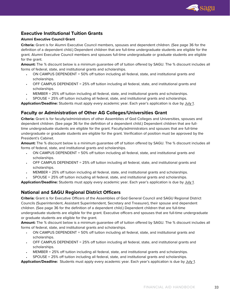![](_page_32_Picture_0.jpeg)

# **Executive Institutional Tuition Grants**

#### **Alumni Executive Council Grant**

**Criteria:** Grant is for Alumni Executive Council members, spouses and dependent children. (See page 36 for the definition of a dependent child.) Dependent children that are full-time undergraduate students are eligible for the grant. Alumni Executive Council members and spouses full-time undergraduate or graduate students are eligible for the grant.

**Amount:** The % discount below is a minimum guarantee off of tuition offered by SAGU. The % discount includes all forms of federal, state, and institutional grants and scholarships.

- ON CAMPUS DEPENDENT = 50% off tuition including all federal, state, and institutional grants and scholarships.
- OFF CAMPUS DEPENDENT = 25% off tuition including all federal, state, and institutional grants and scholarships.
- MEMBER = 25% off tuition including all federal, state, and institutional grants and scholarships.
- SPOUSE = 25% off tuition including all federal, state, and institutional grants and scholarships.

**Application/Deadline:** Students must apply every academic year. Each year's application is due by July 1.

# **Faculty or Administration of Other AG Colleges/Universities Grant**

**Criteria:** Grant is for faculty/administrators of other Assemblies of God Colleges and Universities, spouses and dependent children. (See page 36 for the definition of a dependent child.) Dependent children that are fulltime undergraduate students are eligible for the grant. Faculty/administrators and spouses that are full-time undergraduate or graduate students are eligible for the grant. Verification of position must be approved by the President's Cabinet.

**Amount:** The % discount below is a minimum guarantee off of tuition offered by SAGU. The % discount includes all forms of federal, state, and institutional grants and scholarships.

- ON CAMPUS DEPENDENT = 50% off tuition including all federal, state, and institutional grants and scholarships.
- OFF CAMPUS DEPENDENT = 25% off tuition including all federal, state, and institutional grants and scholarships.
- MEMBER = 25% off tuition including all federal, state, and institutional grants and scholarships.
- SPOUSE = 25% off tuition including all federal, state, and institutional grants and scholarships.

**Application/Deadline:** Students must apply every academic year. Each year's application is due by July 1.

#### **National and SAGU Regional District Officers**

**Criteria:** Grant is for Executive Officers of the Assemblies of God General Council and SAGU Regional District Councils (Superintendent, Assistant Superintendent, Secretary and Treasurer), their spouse and dependent children. (See page 36 for the definition of a dependent child.) Dependent children that are full-time undergraduate students are eligible for the grant. Executive officers and spouses that are full-time undergraduate or graduate students are eligible for the grant.

**Amount:** The % discount below is a minimum guarantee off of tuition offered by SAGU. The % discount includes all forms of federal, state, and institutional grants and scholarships.

- ON CAMPUS DEPENDENT = 50% off tuition including all federal, state, and institutional grants and scholarships.
- OFF CAMPUS DEPENDENT = 25% off tuition including all federal, state, and institutional grants and scholarships.
- MEMBER = 25% off tuition including all federal, state, and institutional grants and scholarships.
- SPOUSE = 25% off tuition including all federal, state, and institutional grants and scholarships.

**Application/Deadline:** Students must apply every academic year. Each year's application is due by July 1.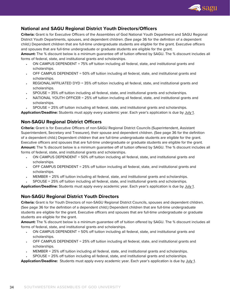![](_page_33_Picture_0.jpeg)

# **National and SAGU Regional District Youth Directors/Officers**

**Criteria:** Grant is for Executive Officers of the Assemblies of God National Youth Department and SAGU Regional District Youth Departments, spouses, and dependent children. (See page 36 for the definition of a dependent child.) Dependent children that are full-time undergraduate students are eligible for the grant. Executive officers and spouses that are full-time undergraduate or graduate students are eligible for the grant.

**Amount:** The % discount below is a minimum guarantee off of tuition offered by SAGU. The % discount includes all forms of federal, state, and institutional grants and scholarships.

- ON CAMPUS DEPENDENT = 75% off tuition including all federal, state, and institutional grants and scholarships.
- OFF CAMPUS DEPENDENT = 50% off tuition including all federal, state, and institutional grants and scholarships.
- REGIONAL/AFFILIATED DYD = 35% off tuition including all federal, state, and institutional grants and scholarships.
- SPOUSE = 35% off tuition including all federal, state, and institutional grants and scholarships.
- NATIONAL YOUTH OFFICER = 25% off tuition including all federal, state, and institutional grants and scholarships.
- SPOUSE = 25% off tuition including all federal, state, and institutional grants and scholarships.

**Application/Deadline:** Students must apply every academic year. Each year's application is due by July 1.

# **Non-SAGU Regional District Officers**

**Criteria:** Grant is for Executive Officers of non-SAGU Regional District Councils (Superintendent, Assistant Superintendent, Secretary and Treasurer), their spouse and dependent children. (See page 36 for the definition of a dependent child.) Dependent children that are full-time undergraduate students are eligible for the grant. Executive officers and spouses that are full-time undergraduate or graduate students are eligible for the grant. **Amount:** The % discount below is a minimum guarantee off of tuition offered by SAGU. The % discount includes all forms of federal, state, and institutional grants and scholarships.

- ON CAMPUS DEPENDENT = 50% off tuition including all federal, state, and institutional grants and scholarships.
- OFF CAMPUS DEPENDENT = 25% off tuition including all federal, state, and institutional grants and scholarships.
- MEMBER = 25% off tuition including all federal, state, and institutional grants and scholarships.
- SPOUSE = 25% off tuition including all federal, state, and institutional grants and scholarships.

**Application/Deadline:** Students must apply every academic year. Each year's application is due by July 1.

# **Non-SAGU Regional District Youth Directors**

**Criteria:** Grant is for Youth Directors of non-SAGU Regional District Councils, spouses and dependent children. (See page 36 for the definition of a dependent child.) Dependent children that are full-time undergraduate students are eligible for the grant. Executive officers and spouses that are full-time undergraduate or graduate students are eligible for the grant.

**Amount:** The % discount below is a minimum guarantee off of tuition offered by SAGU. The % discount includes all forms of federal, state, and institutional grants and scholarships.

- ON CAMPUS DEPENDENT = 50% off tuition including all federal, state, and institutional grants and scholarships.
- OFF CAMPUS DEPENDENT = 25% off tuition including all federal, state, and institutional grants and scholarships.
- MEMBER = 25% off tuition including all federal, state, and institutional grants and scholarships.
- SPOUSE = 25% off tuition including all federal, state, and institutional grants and scholarships.

**Application/Deadline:** Students must apply every academic year. Each year's application is due by July 1.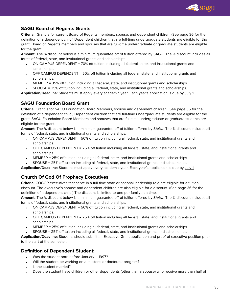![](_page_34_Picture_0.jpeg)

# **SAGU Board of Regents Grants**

**Criteria:** Grant is for current Board of Regents members, spouse, and dependent children. (See page 36 for the definition of a dependent child.) Dependent children that are full-time undergraduate students are eligible for the grant. Board of Regents members and spouses that are full-time undergraduate or graduate students are eligible for the grant.

**Amount:** The % discount below is a minimum guarantee off of tuition offered by SAGU. The % discount includes all forms of federal, state, and institutional grants and scholarships.

- ON CAMPUS DEPENDENT = 70% off tuition including all federal, state, and institutional grants and scholarships.
- OFF CAMPUS DEPENDENT = 50% off tuition including all federal, state, and institutional grants and scholarships.
- MEMBER = 35% off tuition including all federal, state, and institutional grants and scholarships.
- SPOUSE = 35% off tuition including all federal, state, and institutional grants and scholarships.

**Application/Deadline:** Students must apply every academic year. Each year's application is due by July 1.

# **SAGU Foundation Board Grant**

**Criteria:** Grant is for SAGU Foundation Board Members, spouse and dependent children. (See page 36 for the definition of a dependent child.) Dependent children that are full-time undergraduate students are eligible for the grant. SAGU Foundation Board Members and spouses that are full-time undergraduate or graduate students are eligible for the grant.

**Amount:** The % discount below is a minimum guarantee off of tuition offered by SAGU. The % discount includes all forms of federal, state, and institutional grants and scholarships.

- ON CAMPUS DEPENDENT = 50% off tuition including all federal, state, and institutional grants and scholarships.
- OFF CAMPUS DEPENDENT = 25% off tuition including all federal, state, and institutional grants and scholarships.
- MEMBER = 25% off tuition including all federal, state, and institutional grants and scholarships.
- SPOUSE = 25% off tuition including all federal, state, and institutional grants and scholarships.

**Application/Deadline:** Students must apply every academic year. Each year's application is due by July 1.

# **Church Of God Of Prophecy Executives**

**Criteria:** COGOP executives that serve in a full time state or national leadership role are eligible for a tuition discount. The executive's spouse and dependent children are also eligible for a discount. (See page 36 for the definition of a dependent child.) The discount is limited to one per family at a time.

**Amount:** The % discount below is a minimum guarantee off of tuition offered by SAGU. The % discount includes all forms of federal, state, and institutional grants and scholarships.

- ON CAMPUS DEPENDENT = 50% off tuition including all federal, state, and institutional grants and scholarships.
- OFF CAMPUS DEPENDENT = 25% off tuition including all federal, state, and institutional grants and scholarships.
- MEMBER = 25% off tuition including all federal, state, and institutional grants and scholarships.
- SPOUSE = 25% off tuition including all federal, state, and institutional grants and scholarships.

**Application/Deadline:** Students should submit an Executive Grant application and proof of executive position prior to the start of the semester.

# **Definition of Dependent Student:**

- Was the student born before January 1, 1997?
- Will the student be working on a master's or doctorate program?
- Is the student married?
- Does the student have children or other dependents (other than a spouse) who receive more than half of